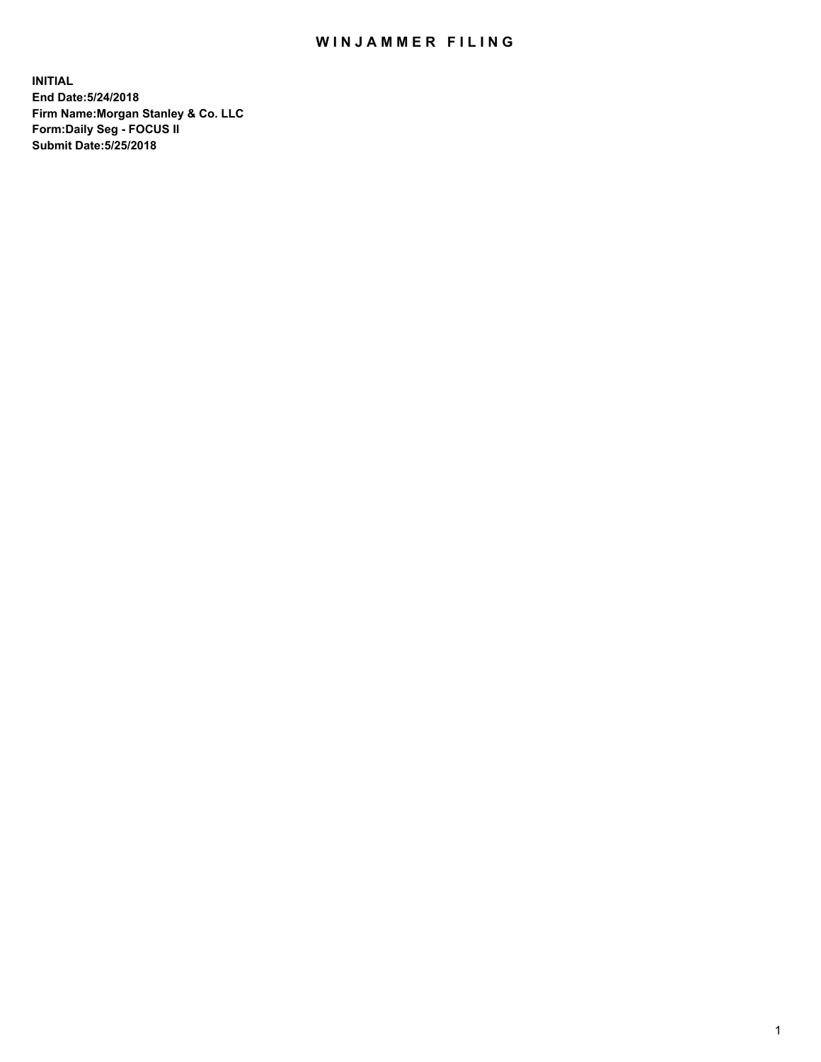## WIN JAMMER FILING

**INITIAL End Date:5/24/2018 Firm Name:Morgan Stanley & Co. LLC Form:Daily Seg - FOCUS II Submit Date:5/25/2018**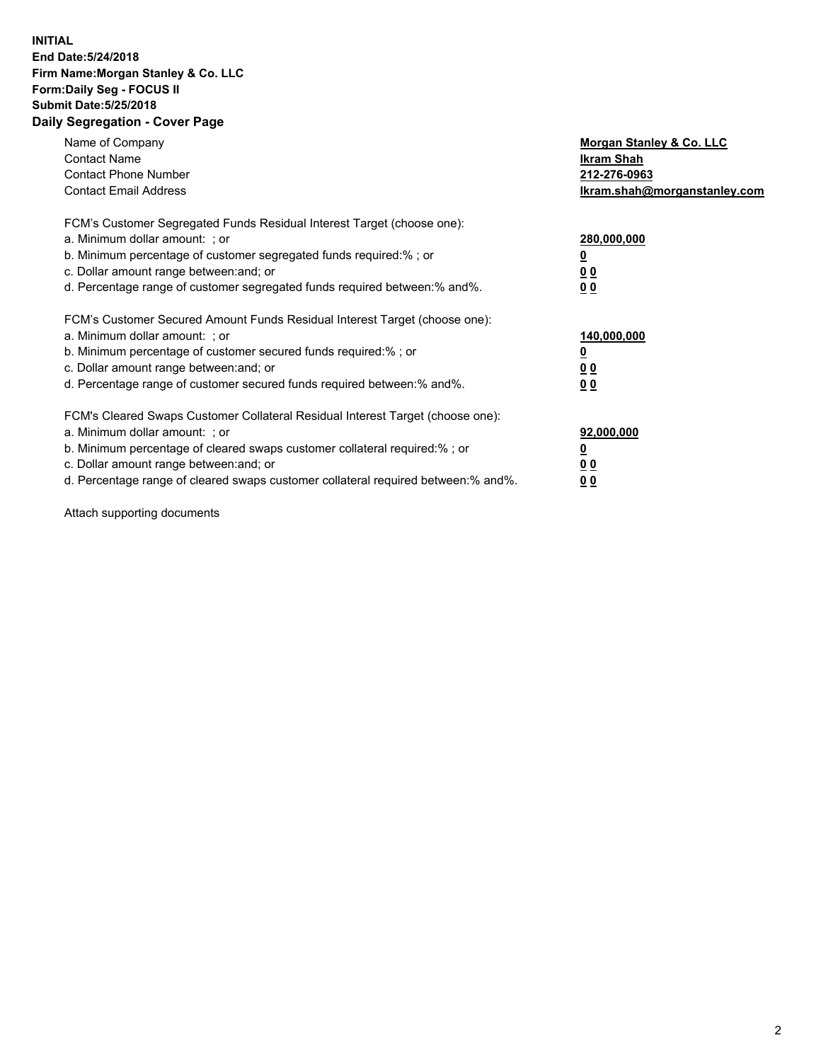## **INITIAL End Date:5/24/2018 Firm Name:Morgan Stanley & Co. LLC Form:Daily Seg - FOCUS II Submit Date:5/25/2018 Daily Segregation - Cover Page**

| Name of Company<br><b>Contact Name</b><br><b>Contact Phone Number</b><br><b>Contact Email Address</b>                                                                                                                                                                                                                         | Morgan Stanley & Co. LLC<br>Ikram Shah<br>212-276-0963<br>lkram.shah@morganstanley.com |
|-------------------------------------------------------------------------------------------------------------------------------------------------------------------------------------------------------------------------------------------------------------------------------------------------------------------------------|----------------------------------------------------------------------------------------|
| FCM's Customer Segregated Funds Residual Interest Target (choose one):<br>a. Minimum dollar amount: ; or<br>b. Minimum percentage of customer segregated funds required:%; or<br>c. Dollar amount range between: and; or<br>d. Percentage range of customer segregated funds required between:% and%.                         | 280,000,000<br>00<br>00                                                                |
| FCM's Customer Secured Amount Funds Residual Interest Target (choose one):<br>a. Minimum dollar amount: ; or<br>b. Minimum percentage of customer secured funds required:%; or<br>c. Dollar amount range between: and; or<br>d. Percentage range of customer secured funds required between:% and%.                           | 140,000,000<br>0 <sub>0</sub><br>0 <sub>0</sub>                                        |
| FCM's Cleared Swaps Customer Collateral Residual Interest Target (choose one):<br>a. Minimum dollar amount: ; or<br>b. Minimum percentage of cleared swaps customer collateral required:%; or<br>c. Dollar amount range between: and; or<br>d. Percentage range of cleared swaps customer collateral required between:% and%. | 92,000,000<br>0 <sub>0</sub><br><u>00</u>                                              |

Attach supporting documents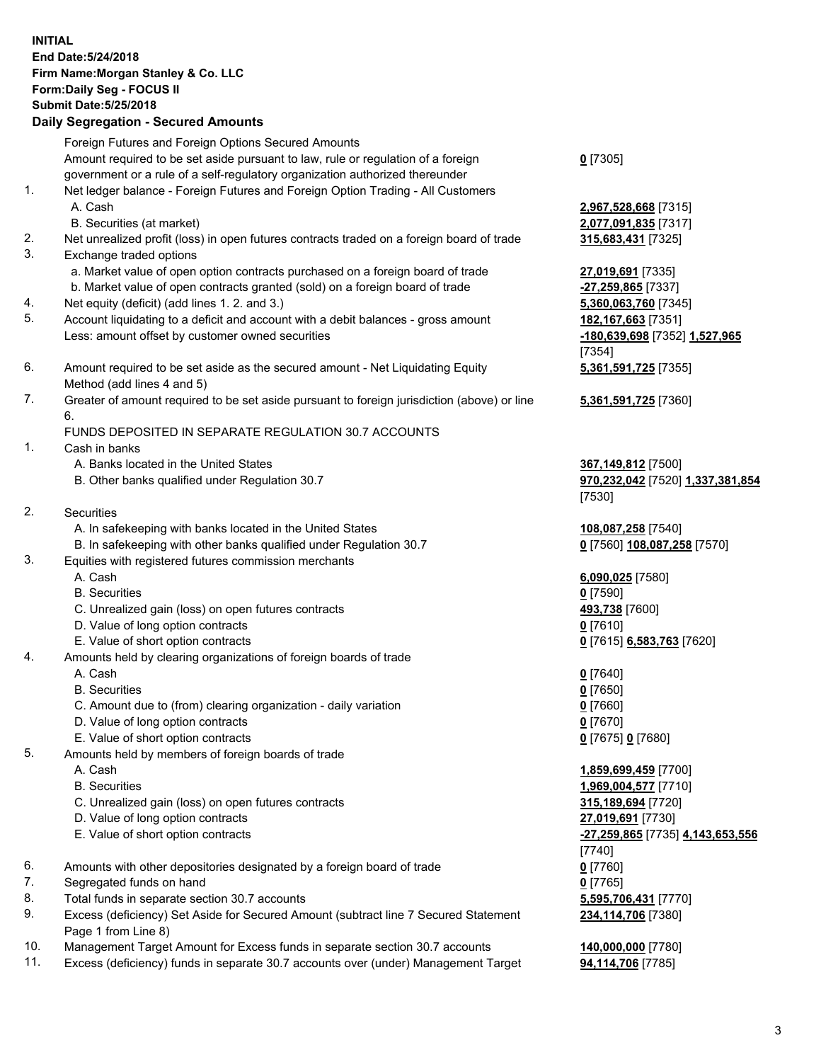## **INITIAL End Date:5/24/2018 Firm Name:Morgan Stanley & Co. LLC Form:Daily Seg - FOCUS II Submit Date:5/25/2018 Daily Segregation - Secured Amounts**

Foreign Futures and Foreign Options Secured Amounts Amount required to be set aside pursuant to law, rule or regulation of a foreign

- government or a rule of a self-regulatory organization authorized thereunder
- 1. Net ledger balance Foreign Futures and Foreign Option Trading All Customers A. Cash **2,967,528,668** [7315]
	- B. Securities (at market) **2,077,091,835** [7317]
- 2. Net unrealized profit (loss) in open futures contracts traded on a foreign board of trade **315,683,431** [7325]
- 3. Exchange traded options
	- a. Market value of open option contracts purchased on a foreign board of trade **27,019,691** [7335]
	- b. Market value of open contracts granted (sold) on a foreign board of trade **-27,259,865** [7337]
- 4. Net equity (deficit) (add lines 1. 2. and 3.) **5,360,063,760** [7345]
- 5. Account liquidating to a deficit and account with a debit balances gross amount **182,167,663** [7351] Less: amount offset by customer owned securities **-180,639,698** [7352] **1,527,965**
- 6. Amount required to be set aside as the secured amount Net Liquidating Equity Method (add lines 4 and 5)
- 7. Greater of amount required to be set aside pursuant to foreign jurisdiction (above) or line 6.

## FUNDS DEPOSITED IN SEPARATE REGULATION 30.7 ACCOUNTS

- 1. Cash in banks
	- A. Banks located in the United States **367,149,812** [7500]
	- B. Other banks qualified under Regulation 30.7 **970,232,042** [7520] **1,337,381,854**
- 2. Securities
	- A. In safekeeping with banks located in the United States **108,087,258** [7540]
	- B. In safekeeping with other banks qualified under Regulation 30.7 **0** [7560] **108,087,258** [7570]
- 3. Equities with registered futures commission merchants
	-
	-
	- C. Unrealized gain (loss) on open futures contracts **493,738** [7600]
	- D. Value of long option contracts **0** [7610]
- E. Value of short option contracts **0** [7615] **6,583,763** [7620]
- 4. Amounts held by clearing organizations of foreign boards of trade
	-
	-
	- C. Amount due to (from) clearing organization daily variation **0** [7660]
	- D. Value of long option contracts **0** [7670]
	- E. Value of short option contracts **0** [7675] **0** [7680]
- 5. Amounts held by members of foreign boards of trade
	-
	-
	- C. Unrealized gain (loss) on open futures contracts **315,189,694** [7720]
	- D. Value of long option contracts **27,019,691** [7730]
	- E. Value of short option contracts **-27,259,865** [7735] **4,143,653,556**
- 6. Amounts with other depositories designated by a foreign board of trade **0** [7760]
- 7. Segregated funds on hand **0** [7765]
- 8. Total funds in separate section 30.7 accounts **5,595,706,431** [7770]
- 9. Excess (deficiency) Set Aside for Secured Amount (subtract line 7 Secured Statement Page 1 from Line 8)
- 10. Management Target Amount for Excess funds in separate section 30.7 accounts **140,000,000** [7780]
- 11. Excess (deficiency) funds in separate 30.7 accounts over (under) Management Target **94,114,706** [7785]

**0** [7305]

[7354] **5,361,591,725** [7355]

**5,361,591,725** [7360]

[7530]

 A. Cash **6,090,025** [7580] B. Securities **0** [7590]

 A. Cash **0** [7640] B. Securities **0** [7650]

 A. Cash **1,859,699,459** [7700] B. Securities **1,969,004,577** [7710] [7740] **234,114,706** [7380]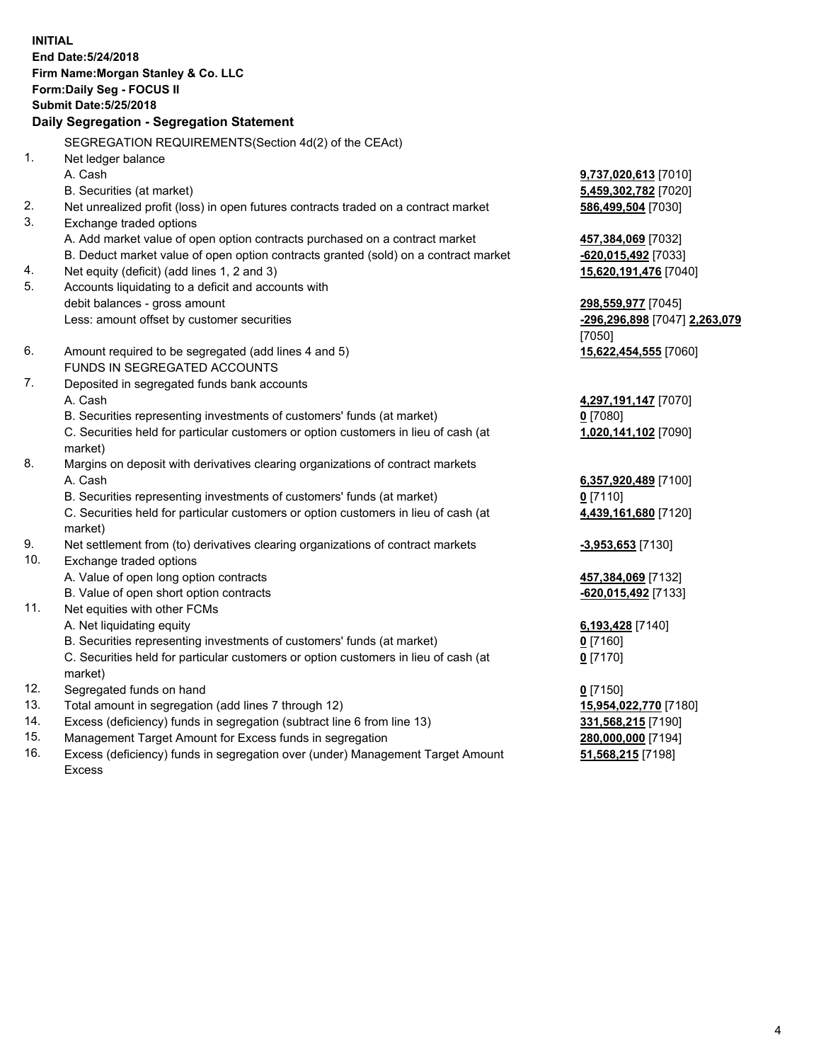**INITIAL End Date:5/24/2018 Firm Name:Morgan Stanley & Co. LLC Form:Daily Seg - FOCUS II Submit Date:5/25/2018 Daily Segregation - Segregation Statement** SEGREGATION REQUIREMENTS(Section 4d(2) of the CEAct) 1. Net ledger balance A. Cash **9,737,020,613** [7010] B. Securities (at market) **5,459,302,782** [7020] 2. Net unrealized profit (loss) in open futures contracts traded on a contract market **586,499,504** [7030] 3. Exchange traded options A. Add market value of open option contracts purchased on a contract market **457,384,069** [7032] B. Deduct market value of open option contracts granted (sold) on a contract market **-620,015,492** [7033] 4. Net equity (deficit) (add lines 1, 2 and 3) **15,620,191,476** [7040] 5. Accounts liquidating to a deficit and accounts with debit balances - gross amount **298,559,977** [7045] Less: amount offset by customer securities **-296,296,898** [7047] **2,263,079** [7050] 6. Amount required to be segregated (add lines 4 and 5) **15,622,454,555** [7060] FUNDS IN SEGREGATED ACCOUNTS 7. Deposited in segregated funds bank accounts A. Cash **4,297,191,147** [7070] B. Securities representing investments of customers' funds (at market) **0** [7080] C. Securities held for particular customers or option customers in lieu of cash (at market) **1,020,141,102** [7090] 8. Margins on deposit with derivatives clearing organizations of contract markets A. Cash **6,357,920,489** [7100] B. Securities representing investments of customers' funds (at market) **0** [7110] C. Securities held for particular customers or option customers in lieu of cash (at market) **4,439,161,680** [7120] 9. Net settlement from (to) derivatives clearing organizations of contract markets **-3,953,653** [7130] 10. Exchange traded options A. Value of open long option contracts **457,384,069** [7132] B. Value of open short option contracts **-620,015,492** [7133] 11. Net equities with other FCMs A. Net liquidating equity **6,193,428** [7140] B. Securities representing investments of customers' funds (at market) **0** [7160] C. Securities held for particular customers or option customers in lieu of cash (at market) **0** [7170] 12. Segregated funds on hand **0** [7150] 13. Total amount in segregation (add lines 7 through 12) **15,954,022,770** [7180] 14. Excess (deficiency) funds in segregation (subtract line 6 from line 13) **331,568,215** [7190]

- 15. Management Target Amount for Excess funds in segregation **280,000,000** [7194]
- 16. Excess (deficiency) funds in segregation over (under) Management Target Amount Excess

**51,568,215** [7198]